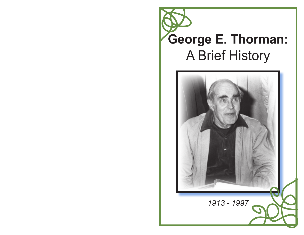